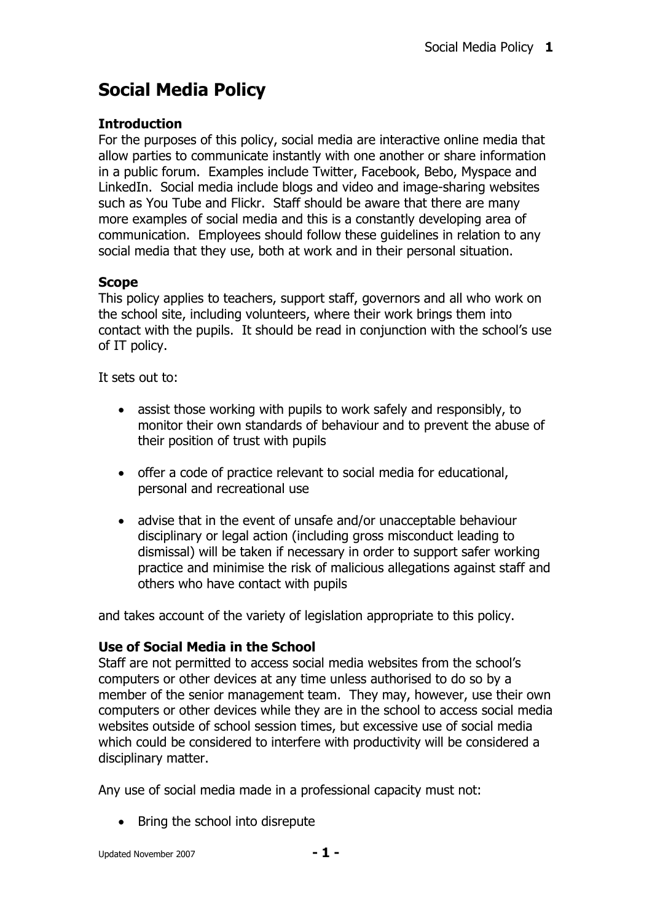# **Social Media Policy**

# **Introduction**

For the purposes of this policy, social media are interactive online media that allow parties to communicate instantly with one another or share information in a public forum. Examples include Twitter, Facebook, Bebo, Myspace and LinkedIn. Social media include blogs and video and image-sharing websites such as You Tube and Flickr. Staff should be aware that there are many more examples of social media and this is a constantly developing area of communication. Employees should follow these guidelines in relation to any social media that they use, both at work and in their personal situation.

# **Scope**

This policy applies to teachers, support staff, governors and all who work on the school site, including volunteers, where their work brings them into contact with the pupils. It should be read in conjunction with the school's use of IT policy.

It sets out to:

- assist those working with pupils to work safely and responsibly, to monitor their own standards of behaviour and to prevent the abuse of their position of trust with pupils
- offer a code of practice relevant to social media for educational, personal and recreational use
- advise that in the event of unsafe and/or unacceptable behaviour disciplinary or legal action (including gross misconduct leading to dismissal) will be taken if necessary in order to support safer working practice and minimise the risk of malicious allegations against staff and others who have contact with pupils

and takes account of the variety of legislation appropriate to this policy.

### **Use of Social Media in the School**

Staff are not permitted to access social media websites from the school's computers or other devices at any time unless authorised to do so by a member of the senior management team. They may, however, use their own computers or other devices while they are in the school to access social media websites outside of school session times, but excessive use of social media which could be considered to interfere with productivity will be considered a disciplinary matter.

Any use of social media made in a professional capacity must not:

• Bring the school into disrepute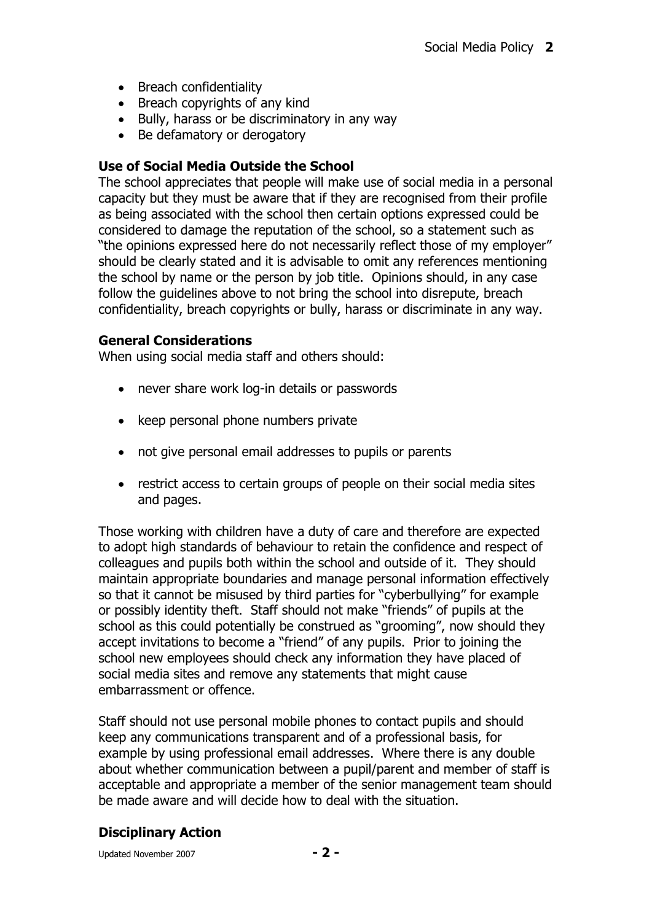- Breach confidentiality
- Breach copyrights of any kind
- Bully, harass or be discriminatory in any way
- Be defamatory or derogatory

#### **Use of Social Media Outside the School**

The school appreciates that people will make use of social media in a personal capacity but they must be aware that if they are recognised from their profile as being associated with the school then certain options expressed could be considered to damage the reputation of the school, so a statement such as "the opinions expressed here do not necessarily reflect those of my employer" should be clearly stated and it is advisable to omit any references mentioning the school by name or the person by job title. Opinions should, in any case follow the guidelines above to not bring the school into disrepute, breach confidentiality, breach copyrights or bully, harass or discriminate in any way.

#### **General Considerations**

When using social media staff and others should:

- never share work log-in details or passwords
- keep personal phone numbers private
- not give personal email addresses to pupils or parents
- restrict access to certain groups of people on their social media sites and pages.

Those working with children have a duty of care and therefore are expected to adopt high standards of behaviour to retain the confidence and respect of colleagues and pupils both within the school and outside of it. They should maintain appropriate boundaries and manage personal information effectively so that it cannot be misused by third parties for "cyberbullying" for example or possibly identity theft. Staff should not make "friends" of pupils at the school as this could potentially be construed as "grooming", now should they accept invitations to become a "friend" of any pupils. Prior to joining the school new employees should check any information they have placed of social media sites and remove any statements that might cause embarrassment or offence.

Staff should not use personal mobile phones to contact pupils and should keep any communications transparent and of a professional basis, for example by using professional email addresses. Where there is any double about whether communication between a pupil/parent and member of staff is acceptable and appropriate a member of the senior management team should be made aware and will decide how to deal with the situation.

### **Disciplinary Action**